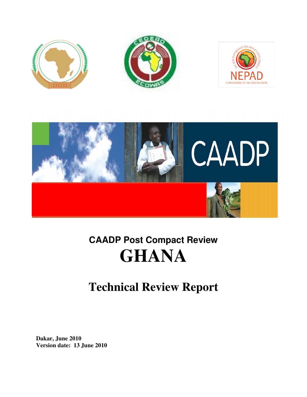



# **CAADP Post Compact Review CAADP Compact ReviewGHANA**

# **Technical Review Report**

**Dakar, June 2010 Version date: 13 June 2010**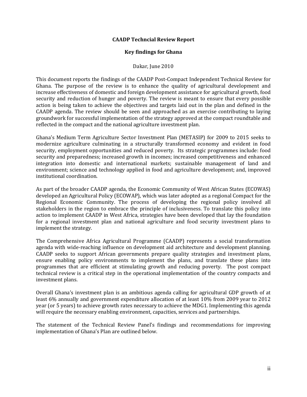#### **CAADP Techncial Review Report**

#### **Key findings for Ghana**

#### Dakar, June 2010

This document reports the findings of the CAADP Post-Compact Independent Technical Review for Ghana. The purpose of the review is to enhance the quality of agricultural development and increase effectiveness of domestic and foreign development assistance for agricultural growth, food security and reduction of hunger and poverty. The review is meant to ensure that every possible action is being taken to achieve the objectives and targets laid out in the plan and defined in the CAADP agenda. The review should be seen and approached as an exercise contributing to laying groundwork for successful implementation of the strategy approved at the compact roundtable and reflected in the compact and the national agriculture investment plan.

Ghana's Medium Term Agriculture Sector Investment Plan (METASIP) for 2009 to 2015 seeks to modernize agriculture culminating in a structurally transformed economy and evident in food security, employment opportunities and reduced poverty. Its strategic programmes include: food security and preparedness; increased growth in incomes; increased competitiveness and enhanced integration into domestic and international markets; sustainable management of land and environment; science and technology applied in food and agriculture development; and, improved institutional coordination.

As part of the broader CAADP agenda, the Economic Community of West African States (ECOWAS) developed an Agricultural Policy (ECOWAP), which was later adopted as a regional Compact for the Regional Economic Community. The process of developing the regional policy involved all stakeholders in the region to embrace the principle of inclusiveness. To translate this policy into action to implement CAADP in West Africa, strategies have been developed that lay the foundation for a regional investment plan and national agriculture and food security investment plans to implement the strategy.

The Comprehensive Africa Agricultural Programme (CAADP) represents a social transformation agenda with wide-reaching influence on development aid architecture and development planning. CAADP seeks to support African governments prepare quality strategies and investment plans, ensure enabling policy environments to implement the plans, and translate these plans into programmes that are efficient at stimulating growth and reducing poverty. The post compact technical review is a critical step in the operational implementation of the country compacts and investment plans.

Overall Ghana's investment plan is an ambitious agenda calling for agricultural GDP growth of at least 6% annually and government expenditure allocation of at least 10% from 2009 year to 2012 year (or 5 years) to achieve growth rates necessary to achieve the MDG1. Implementing this agenda will require the necessary enabling environment, capacities, services and partnerships.

The statement of the Technical Review Panel's findings and recommendations for improving implementation of Ghana's Plan are outlined below.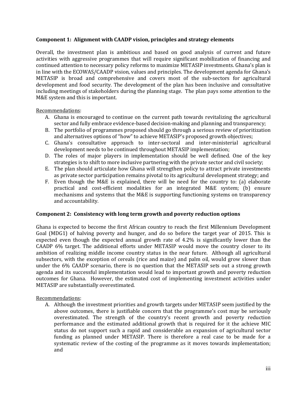#### **Component 1: Alignment with CAADP vision, principles and strategy elements**

Overall, the investment plan is ambitious and based on good analysis of current and future activities with aggressive programmes that will require significant mobilization of financing and continued attention to necessary policy reforms to maximize METASIP investments. Ghana's plan is in line with the ECOWAS/CAADP vision, values and principles. The development agenda for Ghana's METASIP is broad and comprehensive and covers most of the sub-sectors for agricultural development and food security. The development of the plan has been inclusive and consultative including meetings of stakeholders during the planning stage. The plan pays some attention to the M&E system and this is important.

Recommendations:

- A. Ghana is encouraged to continue on the current path towards revitalizing the agricultural sector and fully embrace evidence-based decision-making and planning and transparency;
- B. The portfolio of programmes proposed should go through a serious review of prioritization and alternatives options of "how" to achieve METASIP's proposed growth objectives;
- C. Ghana's consultative approach to inter-sectoral and inter-ministerial agricultural development needs to be continued throughout METASIP implementation;
- D. The roles of major players in implementation should be well defined. One of the key strategies is to shift to more inclusive partnering with the private sector and civil society;
- E. The plan should articulate how Ghana will strengthen policy to attract private investments as private sector participation remains pivotal to its agricultural development strategy; and
- F. Even though the M&E is explained, there will be need for the country to: (a) elaborate practical and cost-efficient modalities for an integrated M&E system; (b) ensure mechanisms and systems that the M&E is supporting functioning systems on transparency and accountability.

#### **Component 2: Consistency with long term growth and poverty reduction options**

Ghana is expected to become the first African country to reach the first Millennium Development Goal (MDG1) of halving poverty and hunger, and do so before the target year of 2015. This is expected even though the expected annual growth rate of 4.2% is significantly lower than the CAADP 6% target. The additional efforts under METASIP would move the country closer to its ambition of realizing middle income country status in the near future. Although all agricultural subsectors, with the exception of cereals (rice and maize) and palm oil, would grow slower than under the 6% CAADP scenario, there is no question that the METASIP sets out a strong growth agenda and its successful implementation would lead to important growth and poverty reduction outcomes for Ghana. However, the estimated cost of implementing investment activities under METASIP are substantially overestimated.

#### Recommendations:

A. Although the investment priorities and growth targets under METASIP seem justified by the above outcomes, there is justifiable concern that the programme's cost may be seriously overestimated. The strength of the country's recent growth and poverty reduction performance and the estimated additional growth that is required for it the achieve MIC status do not support such a rapid and considerable an expansion of agricultural sector funding as planned under METASIP. There is therefore a real case to be made for a systematic review of the costing of the programme as it moves towards implementation; and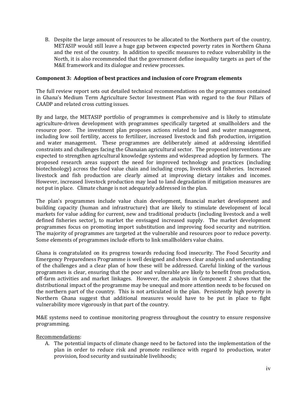B. Despite the large amount of resources to be allocated to the Northern part of the country, METASIP would still leave a huge gap between expected poverty rates in Northern Ghana and the rest of the country. In addition to specific measures to reduce vulnerability in the North, it is also recommended that the government define inequality targets as part of the M&E framework and its dialogue and review processes.

#### **Component 3: Adoption of best practices and inclusion of core Program elements**

The full review report sets out detailed technical recommendations on the programmes contained in Ghana's Medium Term Agriculture Sector Investment Plan with regard to the four Pillars of CAADP and related cross cutting issues.

By and large, the METASIP portfolio of programmes is comprehensive and is likely to stimulate agriculture-driven development with programmes specifically targeted at smallholders and the resource poor. The investment plan proposes actions related to land and water management, including low soil fertility, access to fertilizer, increased livestock and fish production, irrigation and water management. These programmes are deliberately aimed at addressing identified constraints and challenges facing the Ghanaian agricultural sector. The proposed interventions are expected to strengthen agricultural knowledge systems and widespread adoption by farmers. The proposed research areas support the need for improved technology and practices (including biotechnology) across the food value chain and including crops, livestock and fisheries. Increased livestock and fish production are clearly aimed at improving dietary intakes and incomes. However, increased livestock production may lead to land degradation if mitigation measures are not put in place. Climate change is not adequately addressed in the plan.

The plan's programmes include value chain development, financial market development and building capacity (human and infrastructure) that are likely to stimulate development of local markets for value adding for current, new and traditional products (including livestock and a well defined fisheries sector), to market the envisaged increased supply. The market development programmes focus on promoting import substitution and improving food security and nutrition. The majority of programmes are targeted at the vulnerable and resources poor to reduce poverty. Some elements of programmes include efforts to link smallholders value chains.

Ghana is congratulated on its progress towards reducing food insecurity. The Food Security and Emergency Preparedness Programme is well designed and shows clear analysis and understanding of the challenges and a clear plan of how these will be addressed. Careful linking of the various programmes is clear, ensuring that the poor and vulnerable are likely to benefit from production, off-farm activities and market linkages. However, the analysis in Component 2 shows that the distributional impact of the programme may be unequal and more attention needs to be focused on the northern part of the country. This is not articulated in the plan. Persistently high poverty in Northern Ghana suggest that additional measures would have to be put in place to fight vulnerability more vigorously in that part of the country.

M&E systems need to continue monitoring progress throughout the country to ensure responsive programming.

Recommendations:

A. The potential impacts of climate change need to be factored into the implementation of the plan in order to reduce risk and promote resilience with regard to production, water provision, food security and sustainable livelihoods;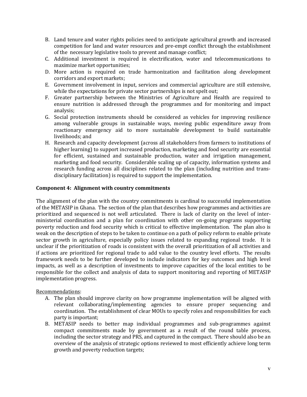- B. Land tenure and water rights policies need to anticipate agricultural growth and increased competition for land and water resources and pre-empt conflict through the establishment of the necessary legislative tools to prevent and manage conflict;
- C. Additional investment is required in electrification, water and telecommunications to maximize market opportunities;
- D. More action is required on trade harmonization and facilitation along development corridors and export markets;
- E. Government involvement in input, services and commercial agriculture are still extensive, while the expectations for private sector partnerships is not spelt out;
- F. Greater partnership between the Ministries of Agriculture and Health are required to ensure nutrition is addressed through the programmes and for monitoring and impact analysis;
- G. Social protection instruments should be considered as vehicles for improving resilience among vulnerable groups in sustainable ways, moving public expenditure away from reactionary emergency aid to more sustainable development to build sustainable livelihoods; and
- H. Research and capacity development (across all stakeholders from farmers to institutions of higher learning) to support increased production, marketing and food security are essential for efficient, sustained and sustainable production, water and irrigation management, marketing and food security. Considerable scaling up of capacity, information systems and research funding across all disciplines related to the plan (including nutrition and transdisciplinary facilitation) is required to support the implementation.

#### **Component 4: Alignment with country commitments**

The alignment of the plan with the country commitments is cardinal to successful implementation of the METASIP in Ghana. The section of the plan that describes how programmes and activities are prioritized and sequenced is not well articulated. There is lack of clarity on the level of interministerial coordination and a plan for coordination with other on-going programs supporting poverty reduction and food security which is critical to effective implementation. The plan also is weak on the description of steps to be taken to continue on a path of policy reform to enable private sector growth in agriculture, especially policy issues related to expanding regional trade. It is unclear if the prioritization of roads is consistent with the overall prioritization of all activities and if actions are prioritized for regional trade to add value to the country level efforts. The results framework needs to be further developed to include indicators for key outcomes and high level impacts, as well as a description of investments to improve capacities of the local entities to be responsible for the collect and analysis of data to support monitoring and reporting of METASIP implementation progress.

#### Recommendations:

- A. The plan should improve clarity on how programme implementation will be aligned with relevant collaborating/implementing agencies to ensure proper sequencing and coordination. The establishment of clear MOUs to specify roles and responsibilities for each party is important;
- B. METASIP needs to better map individual programmes and sub-programmes against compact commitments made by government as a result of the round table process, including the sector strategy and PRS, and captured in the compact. There should also be an overview of the analysis of strategic options reviewed to most efficiently achieve long term growth and poverty reduction targets;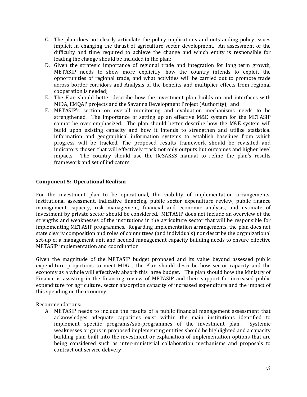- C. The plan does not clearly articulate the policy implications and outstanding policy issues implicit in changing the thrust of agriculture sector development. An assessment of the difficulty and time required to achieve the change and which entity is responsible for leading the change should be included in the plan;
- D. Given the strategic importance of regional trade and integration for long term growth, METASIP needs to show more explicitly, how the country intends to exploit the opportunities of regional trade, and what activities will be carried out to promote trade across border corridors and Analysis of the benefits and multiplier effects from regional cooperation is needed;
- E. The Plan should better describe how the investment plan builds on and interfaces with MiDA, EMQAP projects and the Savanna Development Project (Authority); and
- F. METASIP's section on overall monitoring and evaluation mechanisms needs to be strengthened. The importance of setting up an effective M&E system for the METASIP cannot be over emphasized. The plan should better describe how the M&E system will build upon existing capacity and how it intends to strengthen and utilize statistical information and geographical information systems to establish baselines from which progress will be tracked. The proposed results framework should be revisited and indicators chosen that will effectively track not only outputs but outcomes and higher level impacts. The country should use the ReSAKSS manual to refine the plan's results framework and set of indicators.

#### **Component 5: Operational Realism**

For the investment plan to be operational, the viability of implementation arrangements, institutional assessment, indicative financing, public sector expenditure review, public finance management capacity, risk management, financial and economic analysis, and estimate of investment by private sector should be considered. METASIP does not include an overview of the strengths and weaknesses of the institutions in the agriculture sector that will be responsible for implementing METASIP programmes. Regarding implementation arrangements, the plan does not state clearly composition and roles of committees (and individuals) nor describe the organizational set-up of a management unit and needed management capacity building needs to ensure effective METASIP implementation and coordination.

Given the magnitude of the METASIP budget proposed and its value beyond assessed public expenditure projections to meet MDG1, the Plan should describe how sector capacity and the economy as a whole will effectively absorb this large budget. The plan should how the Ministry of Finance is assisting in the financing review of METASIP and their support for increased public expenditure for agriculture, sector absorption capacity of increased expenditure and the impact of this spending on the economy.

Recommendations:

A. METASIP needs to include the results of a public financial management assessment that acknowledges adequate capacities exist within the main institutions identified to implement specific programs/sub-programmes of the investment plan. Systemic weaknesses or gaps in proposed implementing entities should be highlighted and a capacity building plan built into the investment or explanation of implementation options that are being considered such as inter-ministerial collaboration mechanisms and proposals to contract out service delivery;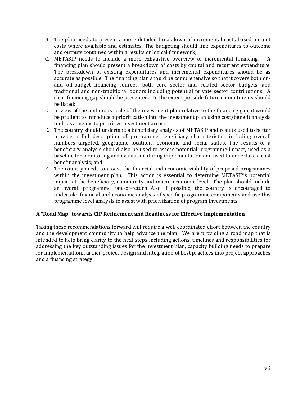- B. The plan needs to present a more detailed breakdown of incremental costs based on unit costs where available and estimates. The budgeting should link expenditures to outcome and outputs contained within a results or logical framework;
- C. METASIP needs to include a more exhaustive overview of incremental financing. A financing plan should present a breakdown of costs by capital and recurrent expenditure. The breakdown of existing expenditures and incremental expenditures should be as accurate as possible. The financing plan should be comprehensive so that it covers both onand off-budget financing sources, both core sector and related sector budgets, and traditional and non-traditional donors including potential private sector contributions. A clear financing gap should be presented. To the extent possible future commitments should be listed;
- D. In view of the ambitious scale of the investment plan relative to the financing gap, it would be prudent to introduce a prioritization into the investment plan using cost/benefit analysis tools as a means to prioritize investment areas;
- E. The country should undertake a beneficiary analysis of METASIP and results used to better provide a full description of programme beneficiary characteristics including overall numbers targeted, geographic locations, economic and social status. The results of a beneficiary analysis should also be used to assess potential programme impact, used as a baseline for monitoring and evaluation during implementation and used to undertake a cost benefit analysis; and
- F. The country needs to assess the financial and economic viability of proposed programmes within the investment plan. This action is essential to determine METASIP's potential impact at the beneficiary, community and macro-economic level. The plan should include an overall programme rate-of-return Also if possible, the country is encouraged to undertake financial and economic analysis of specific programme components and use this programme level analysis to assist with prioritization of program investments.

#### **A "Road Map" towards CIP Refinement and Readiness for Effective Implementation**

Taking these recommendations forward will require a well coordinated effort between the country and the development community to help advance the plan. We are providing a road map that is intended to help bring clarity to the next steps including actions, timelines and responsibilities for addressing the key outstanding issues for the investment plan, capacity building needs to prepare for implementation, further project design and integration of best practices into project approaches and a financing strategy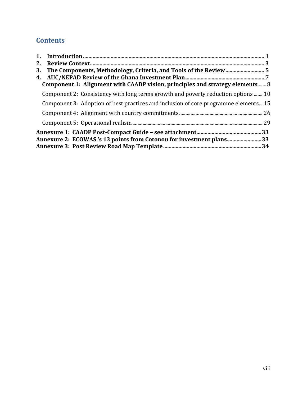# **Contents**

| 2.                                                                                  |  |
|-------------------------------------------------------------------------------------|--|
| 3.                                                                                  |  |
|                                                                                     |  |
| Component 1: Alignment with CAADP vision, principles and strategy elements 8        |  |
| Component 2: Consistency with long terms growth and poverty reduction options  10   |  |
| Component 3: Adoption of best practices and inclusion of core programme elements 15 |  |
|                                                                                     |  |
|                                                                                     |  |
|                                                                                     |  |
| Annexure 2: ECOWAS's 13 points from Cotonou for investment plans33                  |  |
|                                                                                     |  |
|                                                                                     |  |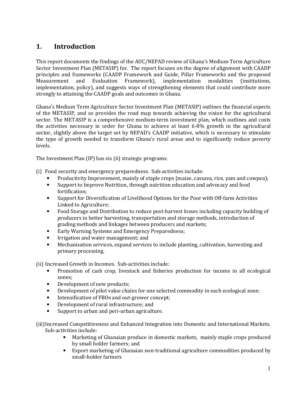# **1. Introduction**

This report documents the findings of the AUC/NEPAD review of Ghana's Medium Term Agriculture Sector Investment Plan (METASIP) for. The report focuses on the degree of alignment with CAADP principles and frameworks (CAADP Framework and Guide, Pillar Frameworks and the proposed Measurement and Evaluation Framework), implementation modalities (institutions, implementation, policy), and suggests ways of strengthening elements that could contribute more strongly to attaining the CAADP goals and outcomes in Ghana.

Ghana's Medium Term Agriculture Sector Investment Plan (METASIP) outlines the financial aspects of the METASIP, and so provides the road map towards achieving the vision for the agricultural sector. The METASIP is a comprehensive medium-term investment plan, which outlines and costs the activities necessary in order for Ghana to achieve at least 6-8% growth in the agricultural sector, slightly above the target set by NEPAD's CAADP initiative, which is necessary to stimulate the type of growth needed to transform Ghana's rural areas and to significantly reduce poverty levels.

The Investment Plan (IP) has six (6) strategic programs:

- (i) Food security and emergency preparedness. Sub-activities include:
	- Productivity Improvement, mainly of staple crops (maize, cassava, rice, yam and cowpea);
	- Support to Improve Nutrition, through nutrition education and advocacy and food fortification;
	- Support for Diversification of Livelihood Options for the Poor with Off-farm Activities Linked to Agriculture;
	- Food Storage and Distribution to reduce post-harvest losses including capacity building of producers in better harvesting, transportation and storage methods, introduction of grading methods and linkages between producers and markets;
	- Early Warning Systems and Emergency Preparedness;
	- Irrigation and water management; and
	- Mechanisation services, expand services to include planting, cultivation, harvesting and primary processing.

(ii) Increased Growth in Incomes. Sub-activities include:

- Promotion of cash crop, livestock and fisheries production for income in all ecological zones;
- Development of new products;
- Development of pilot value chains for one selected commodity in each ecological zone;
- Intensification of FBOs and out-grower concept;
- Development of rural infrastructure; and
- Support to urban and peri-urban agriculture.

(iii)Increased Competitiveness and Enhanced Integration into Domestic and International Markets. Sub-activities include:

- Marketing of Ghanaian produce in domestic markets, mainly staple crops produced by small holder farmers; and
- Export marketing of Ghanaian non-traditional agriculture commodities produced by small-holder farmers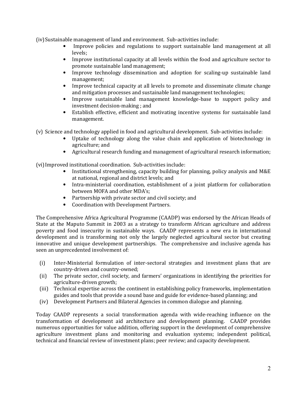(iv)Sustainable management of land and environment. Sub-activities include:

- Improve policies and regulations to support sustainable land management at all levels;
- Improve institutional capacity at all levels within the food and agriculture sector to promote sustainable land management;
- Improve technology dissemination and adoption for scaling-up sustainable land management;
- Improve technical capacity at all levels to promote and disseminate climate change and mitigation processes and sustainable land management technologies;
- Improve sustainable land management knowledge-base to support policy and investment decision-making ; and
- Establish effective, efficient and motivating incentive systems for sustainable land management.
- (v) Science and technology applied in food and agricultural development. Sub-activities include:
	- Uptake of technology along the value chain and application of biotechnology in agriculture; and
	- Agricultural research funding and management of agricultural research information;

(vi)Improved institutional coordination. Sub-activities include:

- Institutional strengthening, capacity building for planning, policy analysis and M&E at national, regional and district levels; and
- Intra-ministerial coordination, establishment of a joint platform for collaboration between MOFA and other MDA's;
- Partnership with private sector and civil society; and
- Coordination with Development Partners.

The Comprehensive Africa Agricultural Programme (CAADP) was endorsed by the African Heads of State at the Maputo Summit in 2003 as a strategy to transform African agriculture and address poverty and food insecurity in sustainable ways. CAADP represents a new era in international development and is transforming not only the largely neglected agricultural sector but creating innovative and unique development partnerships. The comprehensive and inclusive agenda has seen an unprecedented involvement of:

- (i) Inter-Ministerial formulation of inter-sectoral strategies and investment plans that are country-driven and country-owned;
- (ii) The private sector, civil society, and farmers' organizations in identifying the priorities for agriculture-driven growth;
- (iii) Technical expertise across the continent in establishing policy frameworks, implementation guides and tools that provide a sound base and guide for evidence-based planning; and
- (iv) Development Partners and Bilateral Agencies in common dialogue and planning.

Today CAADP represents a social transformation agenda with wide-reaching influence on the transformation of development aid architecture and development planning. CAADP provides numerous opportunities for value addition, offering support in the development of comprehensive agriculture investment plans and monitoring and evaluation systems; independent political, technical and financial review of investment plans; peer review; and capacity development.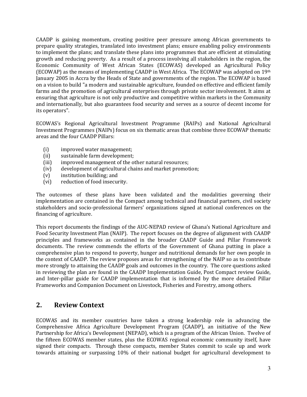CAADP is gaining momentum, creating positive peer pressure among African governments to prepare quality strategies, translated into investment plans; ensure enabling policy environments to implement the plans; and translate these plans into programmes that are efficient at stimulating growth and reducing poverty. As a result of a process involving all stakeholders in the region, the Economic Community of West African States (ECOWAS) developed an Agricultural Policy (ECOWAP) as the means of implementing CAADP in West Africa. The ECOWAP was adopted on 19th January 2005 in Accra by the Heads of State and governments of the region. The ECOWAP is based on a vision to build "a modern and sustainable agriculture, founded on effective and efficient family farms and the promotion of agricultural enterprises through private sector involvement. It aims at ensuring that agriculture is not only productive and competitive within markets in the Community and internationally, but also guarantees food security and serves as a source of decent income for its operators".

ECOWAS's Regional Agricultural Investment Programme (RAIPs) and National Agricultural Investment Programmes (NAIPs) focus on six thematic areas that combine three ECOWAP thematic areas and the four CAADP Pillars:

- (i) improved water management;
- (ii) sustainable farm development;
- (iii) improved management of the other natural resources;
- (iv) development of agricultural chains and market promotion;
- (v) institution building; and
- (vi) reduction of food insecurity.

The outcomes of these plans have been validated and the modalities governing their implementation are contained in the Compact among technical and financial partners, civil society stakeholders and socio-professional farmers' organizations signed at national conferences on the financing of agriculture.

This report documents the findings of the AUC-NEPAD review of Ghana's National Agriculture and Food Security Investment Plan (NAIP). The report focuses on the degree of alignment with CAADP principles and frameworks as contained in the broader CAADP Guide and Pillar Framework documents. The review commends the efforts of the Government of Ghana putting in place a comprehensive plan to respond to poverty, hunger and nutritional demands for her own people in the context of CAADP. The review proposes areas for strengthening of the NAIP so as to contribute more strongly to attaining the CAADP goals and outcomes in the country. The core questions asked in reviewing the plan are found in the CAADP Implementation Guide, Post Compact review Guide, and Inter-pillar guide for CAADP implementation that is informed by the more detailed Pillar Frameworks and Companion Document on Livestock, Fisheries and Forestry, among others.

## **2. Review Context**

ECOWAS and its member countries have taken a strong leadership role in advancing the Comprehensive Africa Agriculture Development Program (CAADP), an initiative of the New Partnership for Africa's Development (NEPAD), which is a program of the African Union. Twelve of the fifteen ECOWAS member states, plus the ECOWAS regional economic community itself, have signed their compacts. Through these compacts, member States commit to scale up and work towards attaining or surpassing 10% of their national budget for agricultural development to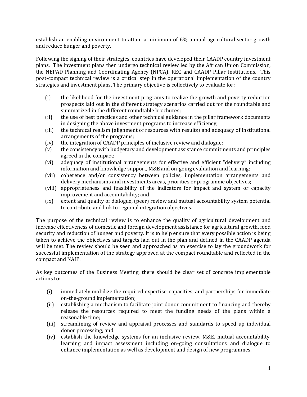establish an enabling environment to attain a minimum of 6% annual agricultural sector growth and reduce hunger and poverty.

Following the signing of their strategies, countries have developed their CAADP country investment plans. The investment plans then undergo technical review led by the African Union Commission, the NEPAD Planning and Coordinating Agency (NPCA), REC and CAADP Pillar Institutions. This post-compact technical review is a critical step in the operational implementation of the country strategies and investment plans. The primary objective is collectively to evaluate for:

- (i) the likelihood for the investment programs to realize the growth and poverty reduction prospects laid out in the different strategy scenarios carried out for the roundtable and summarized in the different roundtable brochures;
- (ii) the use of best practices and other technical guidance in the pillar framework documents in designing the above investment programs to increase efficiency;
- (iii) the technical realism (alignment of resources with results) and adequacy of institutional arrangements of the programs;
- (iv) the integration of CAADP principles of inclusive review and dialogue;
- (v) the consistency with budgetary and development assistance commitments and principles agreed in the compact;
- (vi) adequacy of institutional arrangements for effective and efficient "delivery" including information and knowledge support, M&E and on-going evaluation and learning;
- (vii) coherence and/or consistency between policies, implementation arrangements and delivery mechanisms and investments areas, priorities or programme objectives;
- (viii) appropriateness and feasibility of the indicators for impact and system or capacity improvement and accountability; and
- (ix) extent and quality of dialogue, (peer) review and mutual accountability system potential to contribute and link to regional integration objectives.

The purpose of the technical review is to enhance the quality of agricultural development and increase effectiveness of domestic and foreign development assistance for agricultural growth, food security and reduction of hunger and poverty. It is to help ensure that every possible action is being taken to achieve the objectives and targets laid out in the plan and defined in the CAADP agenda will be met. The review should be seen and approached as an exercise to lay the groundwork for successful implementation of the strategy approved at the compact roundtable and reflected in the compact and NAIP.

As key outcomes of the Business Meeting, there should be clear set of concrete implementable actions to:

- (i) immediately mobilize the required expertise, capacities, and partnerships for immediate on-the-ground implementation;
- (ii) establishing a mechanism to facilitate joint donor commitment to financing and thereby release the resources required to meet the funding needs of the plans within a reasonable time;
- (iii) streamlining of review and appraisal processes and standards to speed up individual donor processing; and
- (iv) establish the knowledge systems for an inclusive review, M&E, mutual accountability, learning and impact assessment including on-going consultations and dialogue to enhance implementation as well as development and design of new programmes.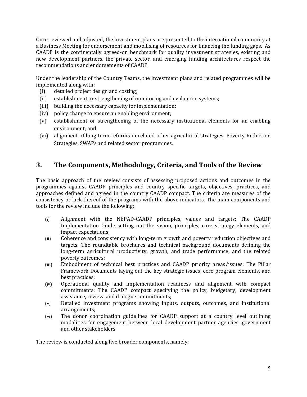Once reviewed and adjusted, the investment plans are presented to the international community at a Business Meeting for endorsement and mobilising of resources for financing the funding gaps. As CAADP is the continentally agreed-on benchmark for quality investment strategies, existing and new development partners, the private sector, and emerging funding architectures respect the recommendations and endorsements of CAADP.

Under the leadership of the Country Teams, the investment plans and related programmes will be implemented along with:

- (i) detailed project design and costing;
- (ii) establishment or strengthening of monitoring and evaluation systems;
- (iii) building the necessary capacity for implementation;
- (iv) policy change to ensure an enabling environment;
- (v) establishment or strengthening of the necessary institutional elements for an enabling environment; and
- (vi) alignment of long-term reforms in related other agricultural strategies, Poverty Reduction Strategies, SWAPs and related sector programmes.

## **3. The Components, Methodology, Criteria, and Tools of the Review**

The basic approach of the review consists of assessing proposed actions and outcomes in the programmes against CAADP principles and country specific targets, objectives, practices, and approaches defined and agreed in the country CAADP compact. The criteria are measures of the consistency or lack thereof of the programs with the above indicators. The main components and tools for the review include the following:

- (i) Alignment with the NEPAD-CAADP principles, values and targets: The CAADP Implementation Guide setting out the vision, principles, core strategy elements, and impact expectations;
- (ii) Coherence and consistency with long-term growth and poverty reduction objectives and targets: The roundtable brochures and technical background documents defining the long-term agricultural productivity, growth, and trade performance, and the related poverty outcomes;
- (iii) Embodiment of technical best practices and CAADP priority areas/issues: The Pillar Framework Documents laying out the key strategic issues, core program elements, and best practices;
- (iv) Operational quality and implementation readiness and alignment with compact commitments: The CAADP compact specifying the policy, budgetary, development assistance, review, and dialogue commitments;
- (v) Detailed investment programs showing inputs, outputs, outcomes, and institutional arrangements;
- (vi) The donor coordination guidelines for CAADP support at a country level outlining modalities for engagement between local development partner agencies, government and other stakeholders

The review is conducted along five broader components, namely: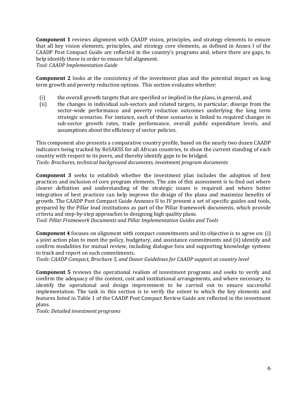**Component 1** reviews alignment with CAADP vision, principles, and strategy elements to ensure that all key vision elements, principles, and strategy core elements, as defined in Annex I of the CAADP Post Compact Guide are reflected in the country's programs and, where there are gaps, to help identify these in order to ensure full alignment.

*Tool: CAADP Implementation Guide*

**Component 2** looks at the consistency of the investment plan and the potential impact on long term growth and poverty reduction options. This section evaluates whether:

- (i) the overall growth targets that are specified or implied in the plans, in general, and
- (ii) the changes in individual sub-sectors and related targets, in particular, diverge from the sector-wide performance and poverty reduction outcomes underlying the long term strategic scenarios. For instance, each of these scenarios is linked to required changes in sub-sector growth rates, trade performance, overall public expenditure levels, and assumptions about the efficiency of sector policies.

This component also presents a comparative country profile, based on the nearly two dozen CAADP indicators being tracked by ReSAKSS for all African countries, to show the current standing of each country with respect to its peers, and thereby identify gaps to be bridged. *Tools: Brochures, technical background documents, investment program documents*

**Component 3** seeks to establish whether the investment plan includes the adoption of best practices and inclusion of core program elements. The aim of this assessment is to find out where clearer definition and understanding of the strategic issues is required and where better integration of best practices can help improve the design of the plans and maximize benefits of growth. The CAADP Post Compact Guide Annexes II to IV present a set of specific guides and tools, prepared by the Pillar lead institutions as part of the Pillar framework documents, which provide criteria and step-by-step approaches to designing high quality plans.

*Tool: Pillar Framework Documents and Pillar Implementation Guides and Tools*

**Component 4** focuses on alignment with compact commitments and its objective is to agree on: (i) a joint action plan to meet the policy, budgetary, and assistance commitments and (ii) identify and confirm modalities for mutual review, including dialogue fora and supporting knowledge systems to track and report on such commitments.

*Tools: CAADP Compact, Brochure 5, and Donor Guidelines for CAADP support at country level*

**Component 5** reviews the operational realism of investment programs and seeks to verify and confirm the adequacy of the content, cost and institutional arrangements, and where necessary, to identify the operational and design improvement to be carried out to ensure successful implementation. The task in this section is to verify the extent to which the key elements and features listed in Table 1 of the CAADP Post Compact Review Guide are reflected in the investment plans.

*Tools: Detailed investment programs*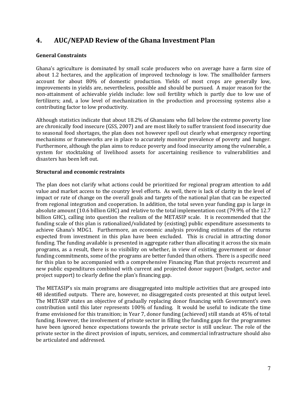# **4. AUC/NEPAD Review of the Ghana Investment Plan**

#### **General Constraints**

Ghana's agriculture is dominated by small scale producers who on average have a farm size of about 1.2 hectares, and the application of improved technology is low. The smallholder farmers account for about 80% of domestic production. Yields of most crops are generally low, improvements in yields are, nevertheless, possible and should be pursued. A major reason for the non-attainment of achievable yields include: low soil fertility which is partly due to low use of fertilizers; and, a low level of mechanization in the production and processing systems also a contributing factor to low productivity.

Although statistics indicate that about 18.2% of Ghanaians who fall below the extreme poverty line are chronically food insecure (GSS, 2007) and are most likely to suffer transient food insecurity due to seasonal food shortages, the plan does not however spell out clearly what emergency reporting mechanisms or frameworks are in place to accurately monitor prevalence of poverty and hunger. Furthermore, although the plan aims to reduce poverty and food insecurity among the vulnerable, a system for stocktaking of livelihood assets for ascertaining resilience to vulnerabilities and disasters has been left out.

### **Structural and economic restraints**

The plan does not clarify what actions could be prioritized for regional program attention to add value and market access to the country level efforts. As well, there is lack of clarity in the level of impact or rate of change on the overall goals and targets of the national plan that can be expected from regional integration and cooperation. In addition, the total seven year funding gap is large in absolute amount (10.6 billion GHC) and relative to the total implementation cost (79.9% of the 12.7 billion GHC), calling into question the realism of the METASIP scale. It is recommended that the funding scale of this plan is rationalized/validated by (existing) public expenditure assessments to achieve Ghana's MDG1. Furthermore, an economic analysis providing estimates of the returns expected from investment in this plan have been excluded. This is crucial in attracting donor funding. The funding available is presented in aggregate rather than allocating it across the six main programs, as a result, there is no visibility on whether, in view of existing government or donor funding commitments, some of the programs are better funded than others. There is a specific need for this plan to be accompanied with a comprehensive Financing Plan that projects recurrent and new public expenditures combined with current and projected donor support (budget, sector and project support) to clearly define the plan's financing gap.

The METASIP's six main programs are disaggregated into multiple activities that are grouped into 48 identified outputs. There are, however, no disaggregated costs presented at this output level. The METASIP states an objective of gradually replacing donor financing with Government's own contribution until this later represents 100% of funding. It would be useful to indicate the time frame envisioned for this transition; in Year 7, donor funding (achieved) still stands at 45% of total funding. However, the involvement of private sector in filling the funding gaps for the programmes have been ignored hence expectations towards the private sector is still unclear. The role of the private sector in the direct provision of inputs, services, and commercial infrastructure should also be articulated and addressed.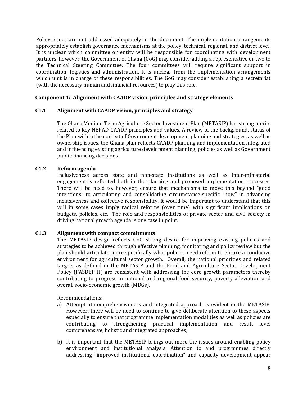Policy issues are not addressed adequately in the document. The implementation arrangements appropriately establish governance mechanisms at the policy, technical, regional, and district level. It is unclear which committee or entity will be responsible for coordinating with development partners, however, the Government of Ghana (GoG) may consider adding a representative or two to the Technical Steering Committee. The four committees will require significant support in coordination, logistics and administration. It is unclear from the implementation arrangements which unit is in charge of these responsibilities. The GoG may consider establishing a secretariat (with the necessary human and financial resources) to play this role.

#### **Component 1: Alignment with CAADP vision, principles and strategy elements**

#### **C1.1 Alignment with CAADP vision, principles and strategy**

The Ghana Medium Term Agriculture Sector Investment Plan (METASIP) has strong merits related to key NEPAD-CAADP principles and values. A review of the background, status of the Plan within the context of Government development planning and strategies, as well as ownership issues, the Ghana plan reflects CAADP planning and implementation integrated and influencing existing agriculture development planning, policies as well as Government public financing decisions.

#### **C1.2 Reform agenda**

Inclusiveness across state and non-state institutions as well as inter-ministerial engagement is reflected both in the planning and proposed implementation processes. There will be need to, however, ensure that mechanisms to move this beyond "good intentions" to articulating and consolidating circumstance-specific "how" in advancing inclusiveness and collective responsibility. It would be important to understand that this will in some cases imply radical reforms (over time) with significant implications on budgets, policies, etc. The role and responsibilities of private sector and civil society in driving national growth agenda is one case in point.

#### **C1.3 Alignment with compact commitments**

The METASIP design reflects GoG strong desire for improving existing policies and strategies to be achieved through effective planning, monitoring and policy review but the plan should articulate more specifically what policies need reform to ensure a conducive environment for agricultural sector growth. Overall, the national priorities and related targets as defined in the METASIP and the Food and Agriculture Sector Development Policy (FASDEP II) are consistent with addressing the core growth parameters thereby contributing to progress in national and regional food security, poverty alleviation and overall socio-economic growth (MDGs).

Recommendations:

- a) Attempt at comprehensiveness and integrated approach is evident in the METASIP. However, there will be need to continue to give deliberate attention to these aspects especially to ensure that programme implementation modalities as well as policies are contributing to strengthening practical implementation and result level comprehensive, holistic and integrated approaches;
- b) It is important that the METASIP brings out more the issues around enabling policy environment and institutional analysis. Attention to and programmes directly addressing "improved institutional coordination" and capacity development appear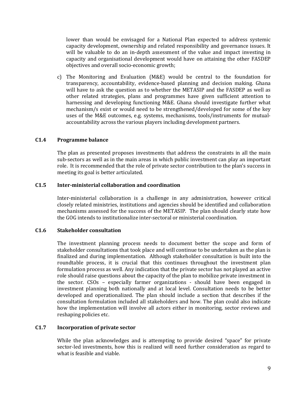lower than would be envisaged for a National Plan expected to address systemic capacity development, ownership and related responsibility and governance issues. It will be valuable to do an in-depth assessment of the value and impact investing in capacity and organisational development would have on attaining the other FASDEP objectives and overall socio-economic growth;

c) The Monitoring and Evaluation (M&E) would be central to the foundation for transparency, accountability, evidence-based planning and decision making. Ghana will have to ask the question as to whether the METASIP and the FASDEP as well as other related strategies, plans and programmes have given sufficient attention to harnessing and developing functioning M&E. Ghana should investigate further what mechanism/s exist or would need to be strengthened/developed for some of the key uses of the M&E outcomes, e.g. systems, mechanisms, tools/instruments for mutualaccountability across the various players including development partners.

#### **C1.4 Programme balance**

The plan as presented proposes investments that address the constraints in all the main sub-sectors as well as in the main areas in which public investment can play an important role. It is recommended that the role of private sector contribution to the plan's success in meeting its goal is better articulated.

#### **C1.5 Inter-ministerial collaboration and coordination**

Inter-ministerial collaboration is a challenge in any administration, however critical closely related ministries, institutions and agencies should be identified and collaboration mechanisms assessed for the success of the METASIP. The plan should clearly state how the GOG intends to institutionalize inter-sectoral or ministerial coordination.

#### **C1.6 Stakeholder consultation**

The investment planning process needs to document better the scope and form of stakeholder consultations that took place and will continue to be undertaken as the plan is finalized and during implementation. Although stakeholder consultation is built into the roundtable process, it is crucial that this continues throughout the investment plan formulation process as well. Any indication that the private sector has not played an active role should raise questions about the capacity of the plan to mobilize private investment in the sector. CSOs – especially farmer organizations - should have been engaged in investment planning both nationally and at local level. Consultation needs to be better developed and operationalized. The plan should include a section that describes if the consultation formulation included all stakeholders and how. The plan could also indicate how the implementation will involve all actors either in monitoring, sector reviews and reshaping policies etc.

#### **C1.7 Incorporation of private sector**

While the plan acknowledges and is attempting to provide desired "space" for private sector-led investments, how this is realized will need further consideration as regard to what is feasible and viable.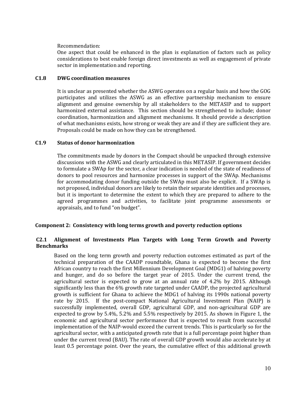Recommendation:

One aspect that could be enhanced in the plan is explanation of factors such as policy considerations to best enable foreign direct investments as well as engagement of private sector in implementation and reporting.

#### **C1.8 DWG coordination measures**

It is unclear as presented whether the ASWG operates on a regular basis and how the GOG participates and utilizes the ASWG as an effective partnership mechanism to ensure alignment and genuine ownership by all stakeholders to the METASIP and to support harmonized external assistance. This section should be strengthened to include; donor coordination, harmonization and alignment mechanisms. It should provide a description of what mechanisms exists, how strong or weak they are and if they are sufficient they are. Proposals could be made on how they can be strengthened.

#### **C1.9 Status of donor harmonization**

The commitments made by donors in the Compact should be unpacked through extensive discussions with the ASWG and clearly articulated in this METASIP. If government decides to formulate a SWAp for the sector, a clear indication is needed of the state of readiness of donors to pool resources and harmonize processes in support of the SWAp. Mechanisms for accommodating donor funding outside the SWAp must also be explicit. If a SWAp is not proposed, individual donors are likely to retain their separate identities and processes, but it is important to determine the extent to which they are prepared to adhere to the agreed programmes and activities, to facilitate joint programme assessments or appraisals, and to fund "on budget".

#### **Component 2: Consistency with long terms growth and poverty reduction options**

#### **C2.1 Alignment of Investments Plan Targets with Long Term Growth and Poverty Benchmarks**

Based on the long term growth and poverty reduction outcomes estimated as part of the technical preparation of the CAADP roundtable, Ghana is expected to become the first African country to reach the first Millennium Development Goal (MDG1) of halving poverty and hunger, and do so before the target year of 2015. Under the current trend, the agricultural sector is expected to grow at an annual rate of 4.2% by 2015. Although significantly less than the 6% growth rate targeted under CAADP, the projected agricultural growth is sufficient for Ghana to achieve the MDG1 of halving its 1990s national poverty rate by 2015. If the post-compact National Agricultural Investment Plan (NAIP) is successfully implemented, overall GDP, agricultural GDP, and non-agricultural GDP are expected to grow by 5.4%, 5.2% and 5.5% respectively by 2015. As shown in Figure 1, the economic and agricultural sector performance that is expected to result from successful implementation of the NAIP-would exceed the current trends. This is particularly so for the agricultural sector, with a anticipated growth rate that is a full percentage point higher than under the current trend (BAU). The rate of overall GDP growth would also accelerate by at least 0.5 percentage point. Over the years, the cumulative effect of this additional growth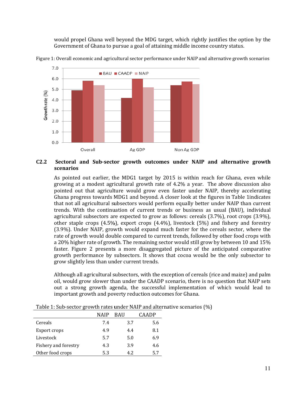would propel Ghana well beyond the MDG target, which rightly justifies the option by the Government of Ghana to pursue a goal of attaining middle income country status.



Figure 1: Overall economic and agricultural sector performance under NAIP and alternative growth scenari economic and scenarios

#### **C2.2 Sectoral and Sub-sector growth outcomes under NA scenarios**  sector growth outcomes under NAIP and alternative growth

As pointed out earlier, the MDG1 target by 2015 is within reach for Ghana, even while growing at a modest agricultural growth rate of 4.2% a year. The above discussion also pointed out that agriculture would grow even faster under NAIP, thereby accelerating Ghana progress towards MDG1 and beyond. A closer look at the figures in Table 1indicates that not all agricultural subsectors would perform equally better under NAIP than current trends. With the continuation of current trends or business as usual (BAU), individual agricultural subsectors are expected to grow as follows: cereals (3.7%), root crops (3.9%), other staple crops (4.5%), export crops (4.4%), livestock (5%) and fishery and forestry (3.9%). Under NAIP, growth would expand much faster for the cereals sector, where the rate of growth would double compared to current trends, followed by other food crops with a 20% higher rate of growth. The remaining sector would still grow by between 10 and 15% faster. Figure 2 presents a more disaggregated picture of the anticipated comparative growth performance by subsectors. It shows that cocoa would be the only subsector to grow slightly less than under current tre trends.

Although all agricultural subsectors, with the exception of cereals (rice and maize) and palm oil, would grow slower than under the CAADP scenario, there is no question that NAIP sets out a strong growth agenda, the successful implementation of which would lead to important growth and poverty reduction outcomes for Ghana.

|                      | NAIP | <b>BAU</b> | `AADP |  |
|----------------------|------|------------|-------|--|
| Cereals              | 7.4  | 3.7        | 5.6   |  |
| Export crops         | 4.9  | 4.4        | 8.1   |  |
| Livestock            | 5.7  | 5.0        | 6.9   |  |
| Fishery and forestry | 4.3  | 3.9        | 4.6   |  |
| Other food crops     | 5.3  | 4.2        | 5.7   |  |

Table 1: Sub-sector growth rates under NAIP and alternative scenarios (%)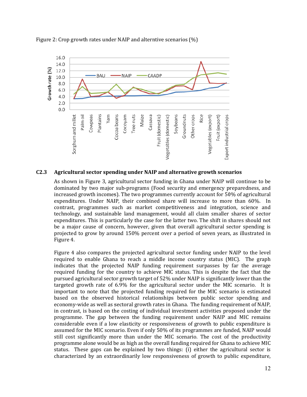

Figure 2: Crop growth rates under NAIP and alterntive scenarios (%)

#### **C2.3 Agricultural sector spending under NAIP and alternative growth scenarios scenarios**

As shown in Figure 3, agricultural sector funding in Ghana under NAIP will continue to be dominated by two major sub-programs (Food security and emergency preparedness, and increased growth incomes). The two programmes currently account for 50% of agricultural The account 50% agricultural expenditures. Under NAIP, their combined share will increase to more than 60%. In contrast, programmes such as market competitiveness and integration, science and technology, and sustainable land management, would all claim smaller shares of sector expenditures. This is particularly the case for the latter two. The shift in shares should not be a major cause of concern, however, given that overall agricultural sector spending is projected to grow by around 150% percent over a period of seven years, as illustrated in Figure 4.

Figure 4 also compares the projected agricultural sector funding under NAIP to the level required to enable Ghana to reach a middle income country status (MIC). The graph indicates that the projected NAIP funding requirement surpasses by far the average required funding for the country to achieve MIC status. This is despite the fact that the pursued agricultural sector growth target of 52% under NAIP is significantly lower than the targeted growth rate of 6.9% for the agricultural sector under the MIC scenario. It is important to note that the projected funding required for the MIC scenario is estimated based on the observed historical relationships between public sector spending and economy-wide as well as sectoral growth rates in Ghana. The funding requirement of NAIP, in contrast, is based on the costing of individual investment activities proposed under the programme. The gap between the funding requirement under NAIP and MIC remains considerable even if a low elasticity or responsiveness of growth to public expenditure is assumed for the MIC scenario. Even if only 50% of its programmes are funded, NAIP would still cost significantly more than under the MIC scenario. The cost of the productivity programme alone would be as high as the overall funding required for Ghana to ac programme alone would be as high as the overall funding required for Ghana to achieve MIC<br>status. These gaps can be explained by two things: (i) either the agricultural sector is characterized by an extraordinarily low responsiveness of growth to public expenditure, ntrast, is based on the costing of individual investment activities proposed under the ramme. The gap between the funding requirement under NAIP and MIC remains iderable even if a low elasticity or responsiveness of growth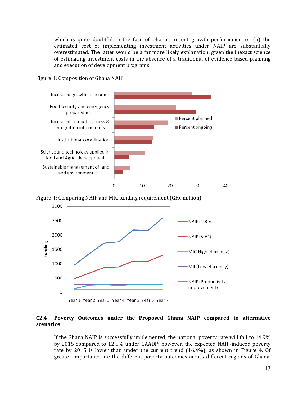which is quite doubtful in the face of Ghana's recent growth perform performance, or (ii) the estimated cost of implementing investment activities under NAIP are substantially are substantially overestimated. The latter would be a far more likely explanation, given the inexact science of estimating investment costs in the absence of a traditional of evidence based planning and execution of development programs. programs.

#### Figure 3: Composition of Ghana NAIP







Year 1 Year 2 Year 3 Year 4 Year 5 Year 6 Year 7

#### **C2.4 Poverty Outcomes under the Proposed Ghana NAIP compared to alternative scenarios**

If the Ghana NAIP is successfully implemented, the national poverty rate will fall to 14.9% by 2015 compared to 12.5% under CAADP; however, the expected NAIP-induced poverty rate by 2015 is lower than under the current trend (16.4%), as shown in Figure 4. Of greater importance are the different poverty outcomes across different regions of Ghana.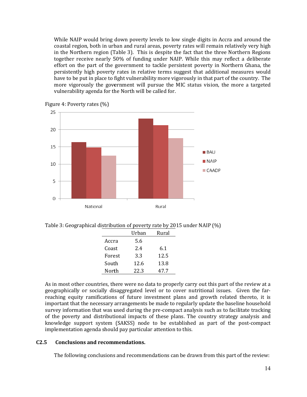While NAIP would bring down poverty levels to low single digits in Accra and around the coastal region, both in urban and rural areas, poverty rates will remain relatively very high in the Northern region (Table 3). This is despite the fact that the three Northern Regions together receive nearly 50% of funding under NAIP. While this may reflect a deliberate effort on the part of the government to tackle persistent poverty in Northern Ghana, the persistently high poverty rates in relative terms suggest that additional measures would have to be put in place to fight vulnerability more vigorously in that part of the country. The more vigorously the government will pursue the MIC status vision, the more a targeted vulnerability agenda for the North will be called for.



Figure 4: Poverty rates (%)

Table 3: Geographical distribution of poverty rate by 2015 under NAIP (%) Geographical distribution poverty Urban Rural

|        | Urban | Rural |
|--------|-------|-------|
| Accra  | 5.6   |       |
| Coast  | 2.4   | 6.1   |
| Forest | 3.3   | 12.5  |
| South  | 12.6  | 13.8  |
| North  | 22.3  | 47.7  |

As in most other countries, there were no data to properly carry out this part of the review at a geographically or socially disaggregated level or to cover nutritional issues. Giv Given the fargeographically or socially disaggregated level or to cover nutritional issues. Given the far-<br>reaching equity ramifications of future investment plans and growth related thereto, it is important that the necessary arrangements be made to regularly update the baseline household the baseline household survey information that was used during the pre-compact analysis such as to facilitate tracking of the poverty and distributional impacts of these plans. The country strategy analysis and knowledge support system (SAKSS) node to be established as part of the post-compact implementation agenda should pay particular attention to this.

### **C2.5** Conclusions and recommendations.

The following conclusions and recommendations can be drawn from this part of the review: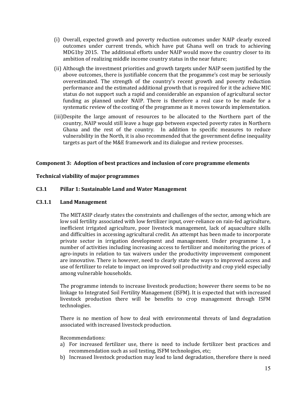- (i) Overall, expected growth and poverty reduction outcomes under NAIP clearly exceed outcomes under current trends, which have put Ghana well on track to achieving MDG1by 2015. The additional efforts under NAIP would move the country closer to its ambition of realizing middle income country status in the near future;
- (ii) Although the investment priorities and growth targets under NAIP seem justified by the above outcomes, there is justifiable concern that the progamme's cost may be seriously overestimated. The strength of the country's recent growth and poverty reduction performance and the estimated additional growth that is required for it the achieve MIC status do not support such a rapid and considerable an expansion of agricultural sector funding as planned under NAIP. There is therefore a real case to be made for a systematic review of the costing of the programme as it moves towards implementation.
- (iii)Despite the large amount of resources to be allocated to the Northern part of the country, NAIP would still leave a huge gap between expected poverty rates in Northern Ghana and the rest of the country. In addition to specific measures to reduce vulnerability in the North, it is also recommended that the government define inequality targets as part of the M&E framework and its dialogue and review processes.

#### **Component 3: Adoption of best practices and inclusion of core programme elements**

#### **Technical viability of major programmes**

#### **C3.1 Pillar 1: Sustainable Land and Water Management**

#### **C3.1.1 Land Management**

The METASIP clearly states the constraints and challenges of the sector, among which are low soil fertility associated with low fertilizer input, over-reliance on rain-fed agriculture, inefficient irrigated agriculture, poor livestock management, lack of aquaculture skills and difficulties in accessing agricultural credit. An attempt has been made to incorporate private sector in irrigation development and management. Under programme 1, a number of activities including increasing access to fertilizer and monitoring the prices of agro-inputs in relation to tax waivers under the productivity improvement component are innovative. There is however, need to clearly state the ways to improved access and use of fertilizer to relate to impact on improved soil productivity and crop yield especially among vulnerable households.

The programme intends to increase livestock production; however there seems to be no linkage to Integrated Soil Fertility Management (ISFM). It is expected that with increased livestock production there will be benefits to crop management through ISFM technologies.

There is no mention of how to deal with environmental threats of land degradation associated with increased livestock production.

Recommendations:

- a) For increased fertilizer use, there is need to include fertilizer best practices and recommendation such as soil testing, ISFM technologies, etc;
- b) Increased livestock production may lead to land degradation, therefore there is need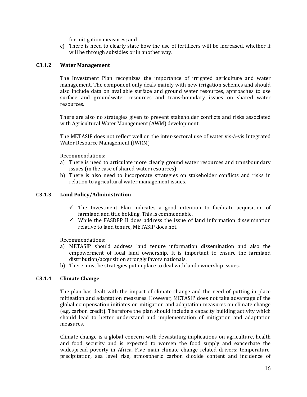for mitigation measures; and

c) There is need to clearly state how the use of fertilizers will be increased, whether it will be through subsidies or in another way.

#### **C3.1.2 Water Management**

The Investment Plan recognizes the importance of irrigated agriculture and water management. The component only deals mainly with new irrigation schemes and should also include data on available surface and ground water resources, approaches to use surface and groundwater resources and trans-boundary issues on shared water resources.

There are also no strategies given to prevent stakeholder conflicts and risks associated with Agricultural Water Management (AWM) development.

The METASIP does not reflect well on the inter-sectoral use of water vis-à-vis Integrated Water Resource Management (IWRM)

Recommendations:

- a) There is need to articulate more clearly ground water resources and transboundary issues (in the case of shared water resources);
- b) There is also need to incorporate strategies on stakeholder conflicts and risks in relation to agricultural water management issues.

#### **C3.1.3 Land Policy/Administration**

- $\checkmark$  The Investment Plan indicates a good intention to facilitate acquisition of farmland and title holding. This is commendable.
- $\checkmark$  While the FASDEP II does address the issue of land information dissemination relative to land tenure, METASIP does not.

Recommendations:

- a) METASIP should address land tenure information dissemination and also the empowerment of local land ownership. It is important to ensure the farmland distribution/acquisition strongly favors nationals.
- b) There must be strategies put in place to deal with land ownership issues.

#### **C3.1.4 Climate Change**

The plan has dealt with the impact of climate change and the need of putting in place mitigation and adaptation measures. However, METASIP does not take advantage of the global compensation initiates on mitigation and adaptation measures on climate change (e.g. carbon credit). Therefore the plan should include a capacity building activity which should lead to better understand and implementation of mitigation and adaptation measures.

Climate change is a global concern with devastating implications on agriculture, health and food security and is expected to worsen the food supply and exacerbate the widespread poverty in Africa. Five main climate change related drivers: temperature, precipitation, sea level rise, atmospheric carbon dioxide content and incidence of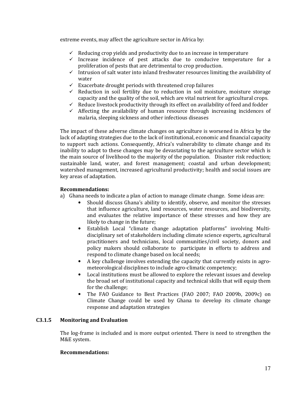extreme events, may affect the agriculture sector in Africa by:

- $\checkmark$  Reducing crop yields and productivity due to an increase in temperature
- $\checkmark$  Increase incidence of pest attacks due to conducive temperature for a proliferation of pests that are detrimental to crop production.
- $\checkmark$  Intrusion of salt water into inland freshwater resources limiting the availability of water
- $\checkmark$  Exacerbate drought periods with threatened crop failures
- $\checkmark$  Reduction in soil fertility due to reduction in soil moisture, moisture storage capacity and the quality of the soil, which are vital nutrient for agricultural crops.
- $\checkmark$  Reduce livestock productivity through its effect on availability of feed and fodder
- $\checkmark$  Affecting the availability of human resource through increasing incidences of malaria, sleeping sickness and other infectious diseases

The impact of these adverse climate changes on agriculture is worsened in Africa by the lack of adapting strategies due to the lack of institutional, economic and financial capacity to support such actions. Consequently, Africa's vulnerability to climate change and its inability to adapt to these changes may be devastating to the agriculture sector which is the main source of livelihood to the majority of the population. Disaster risk reduction; sustainable land, water, and forest management; coastal and urban development; watershed management, increased agricultural productivity; health and social issues are key areas of adaptation.

#### **Recommendations:**

- a) Ghana needs to indicate a plan of action to manage climate change. Some ideas are:
	- Should discuss Ghana's ability to identify, observe, and monitor the stresses that influence agriculture, land resources, water resources, and biodiversity, and evaluates the relative importance of these stresses and how they are likely to change in the future;
	- Establish Local "climate change adaptation platforms" involving Multidisciplinary set of stakeholders including climate science experts, agricultural practitioners and technicians, local communities/civil society, donors and policy makers should collaborate to participate in efforts to address and respond to climate change based on local needs;
	- A key challenge involves extending the capacity that currently exists in agrometeorological disciplines to include agro-climatic competency;
	- Local institutions must be allowed to explore the relevant issues and develop the broad set of institutional capacity and technical skills that will equip them for the challenge;
	- The FAO Guidance to Best Practices (FAO 2007; FAO 2009b, 2009c) on Climate Change could be used by Ghana to develop its climate change response and adaptation strategies

#### **C3.1.5 Monitoring and Evaluation**

The log-frame is included and is more output oriented. There is need to strengthen the M&E system.

#### **Recommendations:**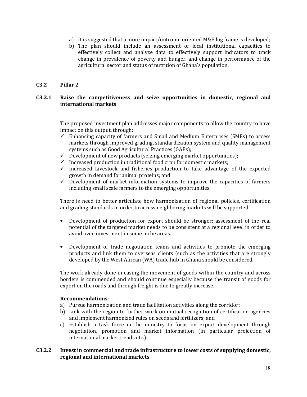- a) It is suggested that a more impact/outcome oriented M&E log frame is developed;
- b) The plan should include an assessment of local institutional capacities to effectively collect and analyze data to effectively support indicators to track change in prevalence of poverty and hunger, and change in performance of the agricultural sector and status of nutrition of Ghana's population.

#### **C3.2 Pillar 2**

#### **C3.2.1 Raise the competitiveness and seize opportunities in domestic, regional and international markets**

The proposed investment plan addresses major components to allow the country to have impact on this output, through:

- $\checkmark$  Enhancing capacity of farmers and Small and Medium Enterprises (SMEs) to access markets through improved grading, standardization system and quality management systems such as Good Agricultural Practices (GAPs);
- $\checkmark$  Development of new products (seizing emerging market opportunities);
- $\checkmark$  Increased production in traditional food crop for domestic markets;
- $\checkmark$  Increased Livestock and fisheries production to take advantage of the expected growth in demand for animal proteins; and
- $\checkmark$  Development of market information systems to improve the capacities of farmers including small scale farmers to the emerging opportunities.

There is need to better articulate how harmonization of regional policies, certification and grading standards in order to access neighboring markets will be supported.

- Development of production for export should be stronger; assessment of the real potential of the targeted market needs to be consistent at a regional level in order to avoid over-investment in some niche areas.
- Development of trade negotiation teams and activities to promote the emerging products and link them to overseas clients (such as the activities that are strongly developed by the West African (WA) trade hub in Ghana should be considered.

The work already done in easing the movement of goods within the country and across borders is commended and should continue especially because the transit of goods for export on the roads and through freight is due to greatly increase.

#### **Recommendations**:

- a) Pursue harmonization and trade facilitation activities along the corridor;
- b) Link with the region to further work on mutual recognition of certification agencies and implement harmonized rules on seeds and fertilizers; and
- c) Establish a task force in the ministry to focus on export development through negotiation, promotion and market information (in particular projection of international market trends etc.).

#### **C3.2.2 Invest in commercial and trade infrastructure to lower costs of supplying domestic, regional and international markets**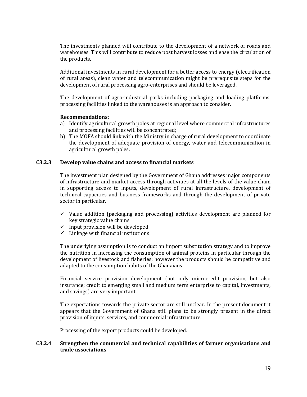The investments planned will contribute to the development of a network of roads and warehouses. This will contribute to reduce post harvest losses and ease the circulation of the products.

Additional investments in rural development for a better access to energy (electrification of rural areas), clean water and telecommunication might be prerequisite steps for the development of rural processing agro-enterprises and should be leveraged.

The development of agro-industrial parks including packaging and loading platforms, processing facilities linked to the warehouses is an approach to consider.

#### **Recommendations:**

- a) Identify agricultural growth poles at regional level where commercial infrastructures and processing facilities will be concentrated;
- b) The MOFA should link with the Ministry in charge of rural development to coordinate the development of adequate provision of energy, water and telecommunication in agricultural growth poles.

### **C3.2.3 Develop value chains and access to financial markets**

The investment plan designed by the Government of Ghana addresses major components of infrastructure and market access through activities at all the levels of the value chain in supporting access to inputs, development of rural infrastructure, development of technical capacities and business frameworks and through the development of private sector in particular.

- $\checkmark$  Value addition (packaging and processing) activities development are planned for key strategic value chains
- $\checkmark$  Input provision will be developed
- $\checkmark$  Linkage with financial institutions

The underlying assumption is to conduct an import substitution strategy and to improve the nutrition in increasing the consumption of animal proteins in particular through the development of livestock and fisheries; however the products should be competitive and adapted to the consumption habits of the Ghanaians.

Financial service provision development (not only microcredit provision, but also insurance; credit to emerging small and medium term enterprise to capital, investments, and savings) are very important.

The expectations towards the private sector are still unclear. In the present document it appears that the Government of Ghana still plans to be strongly present in the direct provision of inputs, services, and commercial infrastructure.

Processing of the export products could be developed.

#### **C3.2.4 Strengthen the commercial and technical capabilities of farmer organisations and trade associations**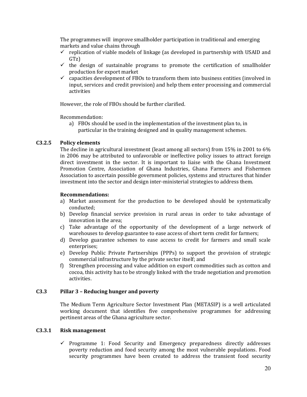The programmes will improve smallholder participation in traditional and emerging markets and value chains through

- $\checkmark$  replication of viable models of linkage (as developed in partnership with USAID and GTz)
- $\checkmark$  the design of sustainable programs to promote the certification of smallholder production for export market
- $\checkmark$  capacities development of FBOs to transform them into business entities (involved in input, services and credit provision) and help them enter processing and commercial activities

However, the role of FBOs should be further clarified.

Recommendation:

a) FBOs should be used in the implementation of the investment plan to, in particular in the training designed and in quality management schemes.

#### **C3.2.5 Policy elements**

The decline in agricultural investment (least among all sectors) from 15% in 2001 to 6% in 2006 may be attributed to unfavorable or ineffective policy issues to attract foreign direct investment in the sector. It is important to liaise with the Ghana Investment Promotion Centre, Association of Ghana Industries, Ghana Farmers and Fishermen Association to ascertain possible government policies, systems and structures that hinder investment into the sector and design inter-ministerial strategies to address them.

#### **Recommendations:**

- a) Market assessment for the production to be developed should be systematically conducted;
- b) Develop financial service provision in rural areas in order to take advantage of innovation in the area;
- c) Take advantage of the opportunity of the development of a large network of warehouses to develop guarantee to ease access of short term credit for farmers;
- d) Develop guarantee schemes to ease access to credit for farmers and small scale enterprises;
- e) Develop Public Private Partnerships (PPPs) to support the provision of strategic commercial infrastructure by the private sector itself; and
- f) Strengthen processing and value addition on export commodities such as cotton and cocoa, this activity has to be strongly linked with the trade negotiation and promotion activities.

#### **C3.3 Pillar 3 – Reducing hunger and poverty**

The Medium Term Agriculture Sector Investment Plan (METASIP) is a well articulated working document that identifies five comprehensive programmes for addressing pertinent areas of the Ghana agriculture sector.

#### **C3.3.1 Risk management**

 $\checkmark$  Programme 1: Food Security and Emergency preparedness directly addresses poverty reduction and food security among the most vulnerable populations. Food security programmes have been created to address the transient food security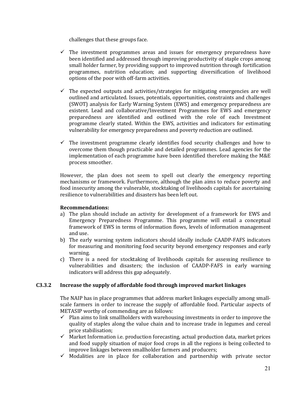challenges that these groups face.

- $\checkmark$  The investment programmes areas and issues for emergency preparedness have been identified and addressed through improving productivity of staple crops among small holder farmer, by providing support to improved nutrition through fortification programmes, nutrition education; and supporting diversification of livelihood options of the poor with off-farm activities.
- $\checkmark$  The expected outputs and activities/strategies for mitigating emergencies are well outlined and articulated. Issues, potentials, opportunities, constraints and challenges (SWOT) analysis for Early Warning System (EWS) and emergency preparedness are existent. Lead and collaborative/Investment Programmes for EWS and emergency preparedness are identified and outlined with the role of each Investment programme clearly stated. Within the EWS, activities and indicators for estimating vulnerability for emergency preparedness and poverty reduction are outlined.
- $\checkmark$  The investment programme clearly identifies food security challenges and how to overcome them though practicable and detailed programmes. Lead agencies for the implementation of each programme have been identified therefore making the M&E process smoother.

However, the plan does not seem to spell out clearly the emergency reporting mechanisms or framework. Furthermore, although the plan aims to reduce poverty and food insecurity among the vulnerable, stocktaking of livelihoods capitals for ascertaining resilience to vulnerabilities and disasters has been left out.

#### **Recommendations:**

- a) The plan should include an activity for development of a framework for EWS and Emergency Preparedness Programme. This programme will entail a conceptual framework of EWS in terms of information flows, levels of information management and use.
- b) The early warning system indicators should ideally include CAADP-FAFS indicators for measuring and monitoring food security beyond emergency responses and early warning.
- c) There is a need for stocktaking of livelihoods capitals for assessing resilience to vulnerabilities and disasters; the inclusion of CAADP-FAFS in early warning indicators will address this gap adequately.

#### **C3.3.2 Increase the supply of affordable food through improved market linkages**

The NAIP has in place programmes that address market linkages especially among smallscale farmers in order to increase the supply of affordable food. Particular aspects of METASIP worthy of commending are as follows:

- $\checkmark$  Plan aims to link smallholders with warehousing investments in order to improve the quality of staples along the value chain and to increase trade in legumes and cereal price stabilisation;
- $\checkmark$  Market Information i.e. production forecasting, actual production data, market prices and food supply situation of major food crops in all the regions is being collected to improve linkages between smallholder farmers and producers;
- $\checkmark$  Modalities are in place for collaboration and partnership with private sector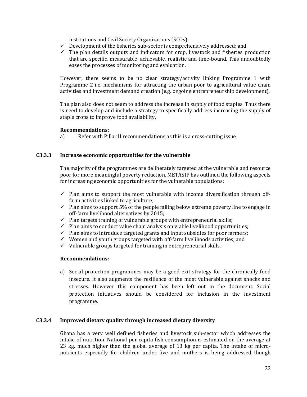institutions and Civil Society Organizations (SCOs);

- $\checkmark$  Development of the fisheries sub-sector is comprehensively addressed; and
- $\checkmark$  The plan details outputs and indicators for crop, livestock and fisheries production that are specific, measurable, achievable, realistic and time-bound. This undoubtedly eases the processes of monitoring and evaluation.

However, there seems to be no clear strategy/activity linking Programme 1 with Programme 2 i.e. mechanisms for attracting the urban poor to agricultural value chain activities and investment demand creation (e.g. ongoing entrepreneurship development).

The plan also does not seem to address the increase in supply of food staples. Thus there is need to develop and include a strategy to specifically address increasing the supply of staple crops to improve food availability.

#### **Recommendations:**

a) Refer with Pillar II recommendations as this is a cross-cutting issue

#### **C3.3.3 Increase economic opportunities for the vulnerable**

The majority of the programmes are deliberately targeted at the vulnerable and resource poor for more meaningful poverty reduction. METASIP has outlined the following aspects for increasing economic opportunities for the vulnerable populations:

- $\checkmark$  Plan aims to support the most vulnerable with income diversification through offfarm activities linked to agriculture;
- $\checkmark$  Plan aims to support 5% of the people falling below extreme poverty line to engage in off-farm livelihood alternatives by 2015;
- $\checkmark$  Plan targets training of vulnerable groups with entrepreneurial skills;
- $\checkmark$  Plan aims to conduct value chain analysis on viable livelihood opportunities;
- $\checkmark$  Plan aims to introduce targeted grants and input subsidies for poor farmers;
- $\checkmark$  Women and youth groups targeted with off-farm livelihoods activities; and
- $\checkmark$  Vulnerable groups targeted for training in entrepreneurial skills.

#### **Recommendations:**

a) Social protection programmes may be a good exit strategy for the chronically food insecure. It also augments the resilience of the most vulnerable against shocks and stresses. However this component has been left out in the document. Social protection initiatives should be considered for inclusion in the investment programme.

#### **C3.3.4 Improved dietary quality through increased dietary diversity**

Ghana has a very well defined fisheries and livestock sub-sector which addresses the intake of nutrition. National per capita fish consumption is estimated on the average at 23 kg, much higher than the global average of 13 kg per capita. The intake of micronutrients especially for children under five and mothers is being addressed though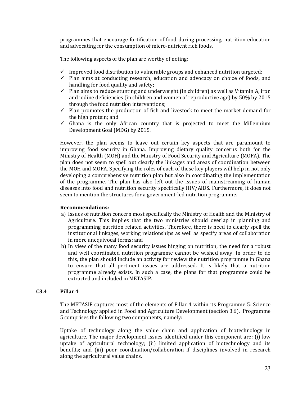programmes that encourage fortification of food during processing, nutrition education and advocating for the consumption of micro-nutrient rich foods.

The following aspects of the plan are worthy of noting:

- $\checkmark$  Improved food distribution to vulnerable groups and enhanced nutrition targeted;
- $\checkmark$  Plan aims at conducting research, education and advocacy on choice of foods, and handling for food quality and safety;
- $\checkmark$  Plan aims to reduce stunting and underweight (in children) as well as Vitamin A, iron and iodine deficiencies (in children and women of reproductive age) by 50% by 2015 through the food nutrition interventions;
- $\checkmark$  Plan promotes the production of fish and livestock to meet the market demand for the high protein; and
- $\checkmark$  Ghana is the only African country that is projected to meet the Millennium Development Goal (MDG) by 2015.

However, the plan seems to leave out certain key aspects that are paramount to improving food security in Ghana. Improving dietary quality concerns both for the Ministry of Health (MOH) and the Ministry of Food Security and Agriculture (MOFA). The plan does not seem to spell out clearly the linkages and areas of coordination between the MOH and MOFA. Specifying the roles of each of these key players will help in not only developing a comprehensive nutrition plan but also in coordinating the implementation of the programme. The plan has also left out the issues of mainstreaming of human diseases into food and nutrition security specifically HIV/AIDS. Furthermore, it does not seem to mention the structures for a government-led nutrition programme.

#### **Recommendations:**

- a) Issues of nutrition concern most specifically the Ministry of Health and the Ministry of Agriculture. This implies that the two ministries should overlap in planning and programming nutrition related activities. Therefore, there is need to clearly spell the institutional linkages, working relationships as well as specify areas of collaboration in more unequivocal terms; and
- b) In view of the many food security issues hinging on nutrition, the need for a robust and well coordinated nutrition programme cannot be wished away. In order to do this, the plan should include an activity for review the nutrition programme in Ghana to ensure that all pertinent issues are addressed. It is likely that a nutrition programme already exists. In such a case, the plans for that programme could be extracted and included in METASIP.

#### **C3.4 Pillar 4**

The METASIP captures most of the elements of Pillar 4 within its Programme 5: Science and Technology applied in Food and Agriculture Development (section 3.6). Programme 5 comprises the following two components, namely:

Uptake of technology along the value chain and application of biotechnology in agriculture. The major development issues identified under this component are: (i) low uptake of agricultural technology; (ii) limited application of biotechnology and its benefits; and (iii) poor coordination/collaboration if disciplines involved in research along the agricultural value chains.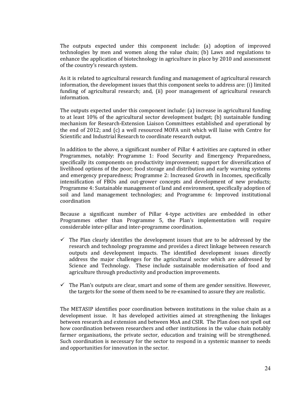The outputs expected under this component include: (a) adoption of improved technologies by men and women along the value chain; (b) Laws and regulations to enhance the application of biotechnology in agriculture in place by 2010 and assessment of the country's research system.

As it is related to agricultural research funding and management of agricultural research information, the development issues that this component seeks to address are: (i) limited funding of agricultural research; and, (ii) poor management of agricultural research information.

The outputs expected under this component include: (a) increase in agricultural funding to at least 10% of the agricultural sector development budget; (b) sustainable funding mechanism for Research-Extension Liaison Committees established and operational by the end of 2012; and (c) a well resourced MOFA unit which will liaise with Centre for Scientific and Industrial Research to coordinate research output.

In addition to the above, a significant number of Pillar 4 activities are captured in other Programmes, notably: Programme 1: Food Security and Emergency Preparedness, specifically its components on productivity improvement; support for diversification of livelihood options of the poor; food storage and distribution and early warning systems and emergency preparedness; Programme 2: Increased Growth in Incomes, specifically intensification of FBOs and out-grower concepts and development of new products; Programme 4: Sustainable management of land and environment, specifically adoption of soil and land management technologies; and Programme 6: Improved institutional coordination

Because a significant number of Pillar 4-type activities are embedded in other Programmes other than Programme 5, the Plan's implementation will require considerable inter-pillar and inter-programme coordination.

- $\checkmark$  The Plan clearly identifies the development issues that are to be addressed by the research and technology programme and provides a direct linkage between research outputs and development impacts. The identified development issues directly address the major challenges for the agricultural sector which are addressed by Science and Technology. These include sustainable modernisation of food and agriculture through productivity and production improvements.
- $\checkmark$  The Plan's outputs are clear, smart and some of them are gender sensitive. However, the targets for the some of them need to be re-examined to assure they are realistic.

The METASIP identifies poor coordination between institutions in the value chain as a development issue. It has developed activities aimed at strengthening the linkages between research and extension and between MoA and CSIR. The Plan does not spell out how coordination between researchers and other institutions in the value chain notably farmer organisations, the private sector, education and training will be strengthened. Such coordination is necessary for the sector to respond in a systemic manner to needs and opportunities for innovation in the sector.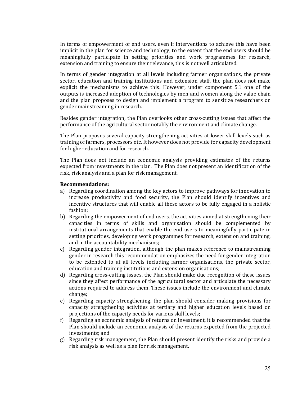In terms of empowerment of end users, even if interventions to achieve this have been implicit in the plan for science and technology, to the extent that the end users should be meaningfully participate in setting priorities and work programmes for research, extension and training to ensure their relevance, this is not well articulated.

In terms of gender integration at all levels including farmer organisations, the private sector, education and training institutions and extension staff, the plan does not make explicit the mechanisms to achieve this. However, under component 5.1 one of the outputs is increased adoption of technologies by men and women along the value chain and the plan proposes to design and implement a program to sensitize researchers on gender mainstreaming in research.

Besides gender integration, the Plan overlooks other cross-cutting issues that affect the performance of the agricultural sector notably the environment and climate change.

The Plan proposes several capacity strengthening activities at lower skill levels such as training of farmers, processors etc. It however does not provide for capacity development for higher education and for research.

The Plan does not include an economic analysis providing estimates of the returns expected from investments in the plan. The Plan does not present an identification of the risk, risk analysis and a plan for risk management.

#### **Recommendations:**

- a) Regarding coordination among the key actors to improve pathways for innovation to increase productivity and food security, the Plan should identify incentives and incentive structures that will enable all these actors to be fully engaged in a holistic fashion;
- b) Regarding the empowerment of end users, the activities aimed at strengthening their capacities in terms of skills and organisation should be complemented by institutional arrangements that enable the end users to meaningfully participate in setting priorities, developing work programmes for research, extension and training, and in the accountability mechanisms;
- c) Regarding gender integration, although the plan makes reference to mainstreaming gender in research this recommendation emphasizes the need for gender integration to be extended to at all levels including farmer organisations, the private sector, education and training institutions and extension organisations;
- d) Regarding cross-cutting issues, the Plan should make due recognition of these issues since they affect performance of the agricultural sector and articulate the necessary actions required to address them. These issues include the environment and climate change;
- e) Regarding capacity strengthening, the plan should consider making provisions for capacity strengthening activities at tertiary and higher education levels based on projections of the capacity needs for various skill levels;
- f) Regarding an economic analysis of returns on investment, it is recommended that the Plan should include an economic analysis of the returns expected from the projected investments; and
- g) Regarding risk management, the Plan should present identify the risks and provide a risk analysis as well as a plan for risk management.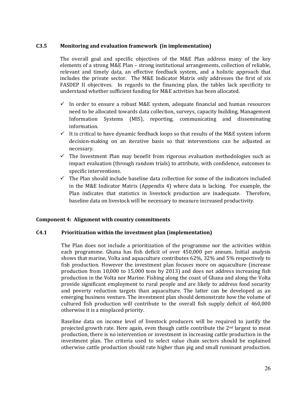#### **C3.5 Monitoring and evaluation framework (in implementation)**

The overall goal and specific objectives of the M&E Plan address many of the key elements of a strong M&E Plan – strong institutional arrangements, collection of reliable, relevant and timely data, an effective feedback system, and a holistic approach that includes the private sector. The M&E Indicator Matrix only addresses the first of six FASDEP II objectives. In regards to the financing plan, the tables lack specificity to understand whether sufficient funding for M&E activities has been allocated.

- $\checkmark$  In order to ensure a robust M&E system, adequate financial and human resources need to be allocated towards data collection, surveys, capacity building, Management Information Systems (MIS), reporting, communicating and disseminating information.
- $\checkmark$  It is critical to have dynamic feedback loops so that results of the M&E system inform decision-making on an iterative basis so that interventions can be adjusted as necessary.
- $\checkmark$  The Investment Plan may benefit from rigorous evaluation methodologies such as impact evaluation (through random trials) to attribute, with confidence, outcomes to specific interventions.
- $\checkmark$  The Plan should include baseline data collection for some of the indicators included in the M&E Indicator Matrix (Appendix 4) where data is lacking. For example, the Plan indicates that statistics in livestock production are inadequate. Therefore, baseline data on livestock will be necessary to measure increased productivity.

#### **Component 4: Alignment with country commitments**

#### **C4.1 Prioritization within the investment plan (implementation)**

The Plan does not include a prioritization of the programme nor the activities within each programme. Ghana has fish deficit of over 450,000 per annum. Initial analysis shows that marine, Volta and aquaculture contributes 62%, 32% and 5% respectively to fish production. However the investment plan focuses more on aquaculture (increase production from 10,000 to 15,000 tons by 2013) and does not address increasing fish production in the Volta nor Marine. Fishing along the coast of Ghana and along the Volta provide significant employment to rural people and are likely to address food security and poverty reduction targets than aquaculture. The latter can be developed as an emerging business venture. The investment plan should demonstrate how the volume of cultured fish production will contribute to the overall fish supply deficit of 460,000 otherwise it is a misplaced priority.

Baseline data on income level of livestock producers will be required to justify the projected growth rate. Here again, even though cattle contribute the 2<sup>nd</sup> largest to meat production, there is no intervention or investment in increasing cattle production in the investment plan. The criteria used to select value chain sectors should be explained otherwise cattle production should rate higher than pig and small ruminant production.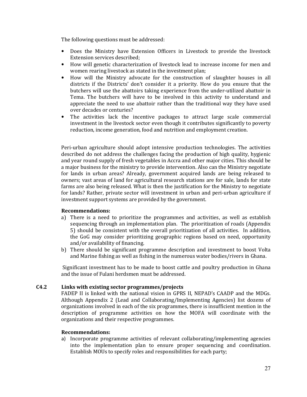The following questions must be addressed:

- Does the Ministry have Extension Officers in Livestock to provide the livestock Extension services described;
- How will genetic characterization of livestock lead to increase income for men and women rearing livestock as stated in the investment plan;
- How will the Ministry advocate for the construction of slaughter houses in all districts if the Districts' don't consider it a priority. How do you ensure that the butchers will use the abattoirs taking experience from the under-utilized abattoir in Tema. The butchers will have to be involved in this activity to understand and appreciate the need to use abattoir rather than the traditional way they have used over decades or centuries?
- The activities lack the incentive packages to attract large scale commercial investment in the livestock sector even though it contributes significantly to poverty reduction, income generation, food and nutrition and employment creation.

Peri-urban agriculture should adopt intensive production technologies. The activities described do not address the challenges facing the production of high quality, hygienic and year round supply of fresh vegetables in Accra and other major cities. This should be a major business for the ministry to provide intervention. Also can the Ministry negotiate for lands in urban areas? Already, government acquired lands are being released to owners; vast areas of land for agricultural research stations are for sale, lands for state farms are also being released. What is then the justification for the Ministry to negotiate for lands? Rather, private sector will investment in urban and peri-urban agriculture if investment support systems are provided by the government.

#### **Recommendations:**

- a) There is a need to prioritize the programmes and activities, as well as establish sequencing through an implementation plan. The prioritization of roads (Appendix 5) should be consistent with the overall prioritization of all activities. In addition, the GoG may consider prioritizing geographic regions based on need, opportunity and/or availability of financing.
- b) There should be significant programme description and investment to boost Volta and Marine fishing as well as fishing in the numerous water bodies/rivers in Ghana.

 Significant investment has to be made to boost cattle and poultry production in Ghana and the issue of Fulani herdsmen must be addressed.

#### **C4.2 Links with existing sector programmes/projects**

FADEP II is linked with the national vision in GPRS II, NEPAD's CAADP and the MDGs. Although Appendix 2 (Lead and Collaborating/Implementing Agencies) list dozens of organizations involved in each of the six programmes, there is insufficient mention in the description of programme activities on how the MOFA will coordinate with the organizations and their respective programmes.

#### **Recommendations:**

a) Incorporate programme activities of relevant collaborating/implementing agencies into the implementation plan to ensure proper sequencing and coordination. Establish MOUs to specify roles and responsibilities for each party;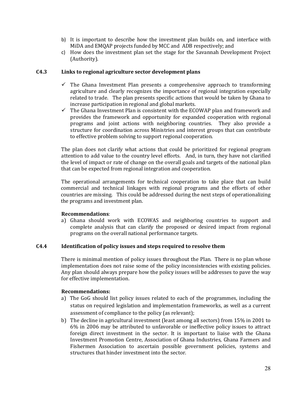- b) It is important to describe how the investment plan builds on, and interface with MiDA and EMQAP projects funded by MCC and ADB respectively; and
- c) How does the investment plan set the stage for the Savannah Development Project (Authority).

#### **C4.3 Links to regional agriculture sector development plans**

- $\checkmark$  The Ghana Investment Plan presents a comprehensive approach to transforming agriculture and clearly recognizes the importance of regional integration especially related to trade. The plan presents specific actions that would be taken by Ghana to increase participation in regional and global markets.
- $\checkmark$  The Ghana Investment Plan is consistent with the ECOWAP plan and framework and provides the framework and opportunity for expanded cooperation with regional programs and joint actions with neighboring countries. They also provide a structure for coordination across Ministries and interest groups that can contribute to effective problem solving to support regional cooperation.

The plan does not clarify what actions that could be prioritized for regional program attention to add value to the country level efforts. And, in turn, they have not clarified the level of impact or rate of change on the overall goals and targets of the national plan that can be expected from regional integration and cooperation.

The operational arrangements for technical cooperation to take place that can build commercial and technical linkages with regional programs and the efforts of other countries are missing. This could be addressed during the next steps of operationalizing the programs and investment plan.

#### **Recommendations**:

a) Ghana should work with ECOWAS and neighboring countries to support and complete analysis that can clarify the proposed or desired impact from regional programs on the overall national performance targets.

#### **C4.4 Identification of policy issues and steps required to resolve them**

There is minimal mention of policy issues throughout the Plan. There is no plan whose implementation does not raise some of the policy inconsistencies with existing policies. Any plan should always prepare how the policy issues will be addresses to pave the way for effective implementation.

#### **Recommendations:**

- a) The GoG should list policy issues related to each of the programmes, including the status on required legislation and implementation frameworks, as well as a current assessment of compliance to the policy (as relevant);
- b) The decline in agricultural investment (least among all sectors) from 15% in 2001 to 6% in 2006 may be attributed to unfavorable or ineffective policy issues to attract foreign direct investment in the sector. It is important to liaise with the Ghana Investment Promotion Centre, Association of Ghana Industries, Ghana Farmers and Fishermen Association to ascertain possible government policies, systems and structures that hinder investment into the sector.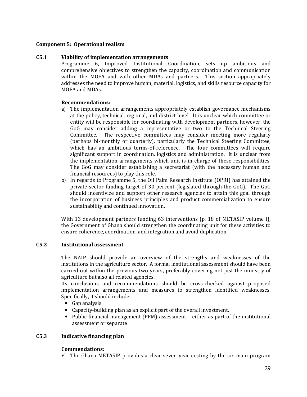#### **Component 5: Operational realism**

#### **C5.1 Viability of implementation arrangements**

Programme 6, Improved Institutional Coordination, sets up ambitious and comprehensive objectives to strengthen the capacity, coordination and communication within the MOFA and with other MDAs and partners. This section appropriately addresses the need to improve human, material, logistics, and skills resource capacity for MOFA and MDAs.

#### **Recommendations:**

- a) The implementation arrangements appropriately establish governance mechanisms at the policy, technical, regional, and district level. It is unclear which committee or entity will be responsible for coordinating with development partners, however, the GoG may consider adding a representative or two to the Technical Steering Committee. The respective committees may consider meeting more regularly (perhaps bi-monthly or quarterly), particularly the Technical Steering Committee, which has an ambitious terms-of-reference. The four committees will require significant support in coordination, logistics and administration. It is unclear from the implementation arrangements which unit is in charge of these responsibilities. The GoG may consider establishing a secretariat (with the necessary human and financial resources) to play this role.
- b) In regards to Programme 5, the Oil Palm Research Institute (OPRI) has attained the private-sector funding target of 30 percent (legislated through the GoG). The GoG should incentivize and support other research agencies to attain this goal through the incorporation of business principles and product commercialization to ensure sustainability and continued innovation.

With 13 development partners funding 63 interventions (p. 18 of METASIP volume I), the Government of Ghana should strengthen the coordinating unit for these activities to ensure coherence, coordination, and integration and avoid duplication.

#### **C5.2 Institutional assessment**

The NAIP should provide an overview of the strengths and weaknesses of the institutions in the agriculture sector. A formal institutional assessment should have been carried out within the previous two years, preferably covering not just the ministry of agriculture but also all related agencies.

Its conclusions and recommendations should be cross-checked against proposed implementation arrangements and measures to strengthen identified weaknesses. Specifically, it should include:

- Gap analysis
- Capacity-building plan as an explicit part of the overall investment.
- Public financial management (PFM) assessment either as part of the institutional assessment or separate

### **C5.3 Indicative financing plan**

#### **Commendations:**

 $\checkmark$  The Ghana METASIP provides a clear seven year costing by the six main program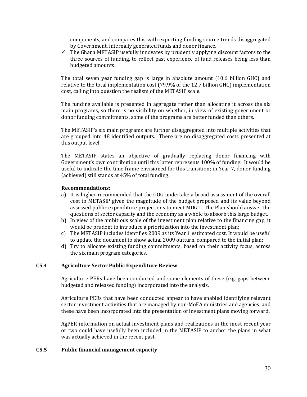components, and compares this with expecting funding source trends disaggregated by Government, internally generated funds and donor finance.

 $\checkmark$  The Ghana METASIP usefully innovates by prudently applying discount factors to the three sources of funding, to reflect past experience of fund releases being less than budgeted amounts.

The total seven year funding gap is large in absolute amount (10.6 billion GHC) and relative to the total implementation cost (79.9% of the 12.7 billion GHC) implementation cost, calling into question the realism of the METASIP scale.

The funding available is presented in aggregate rather than allocating it across the six main programs, so there is no visibility on whether, in view of existing government or donor funding commitments, some of the programs are better funded than others.

The METASIP's six main programs are further disaggregated into multiple activities that are grouped into 48 identified outputs. There are no disaggregated costs presented at this output level.

The METASIP states an objective of gradually replacing donor financing with Government's own contribution until this latter represents 100% of funding. It would be useful to indicate the time frame envisioned for this transition; in Year 7, donor funding (achieved) still stands at 45% of total funding.

#### **Recommendations:**

- a) It is higher recommended that the GOG undertake a broad assessment of the overall cost to METASIP given the magnitude of the budget proposed and its value beyond assessed public expenditure projections to meet MDG1. The Plan should answer the questions of sector capacity and the economy as a whole to absorb this large budget.
- b) In view of the ambitious scale of the investment plan relative to the financing gap, it would be prudent to introduce a prioritization into the investment plan;
- c) The METASIP includes identifies 2009 as its Year 1 estimated cost. It would be useful to update the document to show actual 2009 outturn, compared to the initial plan;
- d) Try to allocate existing funding commitments, based on their activity focus, across the six main program categories.

#### **C5.4 Agriculture Sector Public Expenditure Review**

Agriculture PERs have been conducted and some elements of these (e.g. gaps between budgeted and released funding) incorporated into the analysis.

Agriculture PERs that have been conducted appear to have enabled identifying relevant sector investment activities that are managed by non-MoFA ministries and agencies, and these have been incorporated into the presentation of investment plans moving forward.

AgPER information on actual investment plans and realizations in the most recent year or two could have usefully been included in the METASIP to anchor the plans in what was actually achieved in the recent past.

#### **C5.5 Public financial management capacity**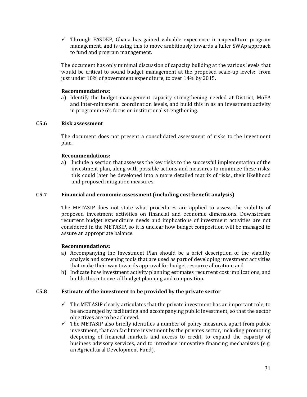$\checkmark$  Through FASDEP, Ghana has gained valuable experience in expenditure program management, and is using this to move ambitiously towards a fuller SWAp approach to fund and program management.

The document has only minimal discussion of capacity building at the various levels that would be critical to sound budget management at the proposed scale-up levels: from just under 10% of government expenditure, to over 14% by 2015.

#### **Recommendations:**

a) Identify the budget management capacity strengthening needed at District, MoFA and inter-ministerial coordination levels, and build this in as an investment activity in programme 6's focus on institutional strengthening.

#### **C5.6 Risk assessment**

The document does not present a consolidated assessment of risks to the investment plan.

#### **Recommendations:**

a) Include a section that assesses the key risks to the successful implementation of the investment plan, along with possible actions and measures to minimize these risks; this could later be developed into a more detailed matrix of risks, their likelihood and proposed mitigation measures.

#### **C5.7 Financial and economic assessment (including cost-benefit analysis)**

The METASIP does not state what procedures are applied to assess the viability of proposed investment activities on financial and economic dimensions. Downstream recurrent budget expenditure needs and implications of investment activities are not considered in the METASIP, so it is unclear how budget composition will be managed to assure an appropriate balance.

#### **Recommendations:**

- a) Accompanying the Investment Plan should be a brief description of the viability analysis and screening tools that are used as part of developing investment activities that make their way towards approval for budget resource allocation; and
- b) Indicate how investment activity planning estimates recurrent cost implications, and builds this into overall budget planning and composition.

#### **C5.8 Estimate of the investment to be provided by the private sector**

- $\checkmark$  The METASIP clearly articulates that the private investment has an important role, to be encouraged by facilitating and accompanying public investment, so that the sector objectives are to be achieved.
- $\checkmark$  The METASIP also briefly identifies a number of policy measures, apart from public investment, that can facilitate investment by the privates sector, including promoting deepening of financial markets and access to credit, to expand the capacity of business advisory services, and to introduce innovative financing mechanisms (e.g. an Agricultural Development Fund).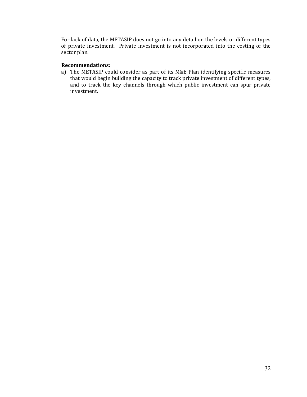For lack of data, the METASIP does not go into any detail on the levels or different types of private investment. Private investment is not incorporated into the costing of the sector plan.

#### **Recommendations:**

a) The METASIP could consider as part of its M&E Plan identifying specific measures that would begin building the capacity to track private investment of different types, and to track the key channels through which public investment can spur private investment.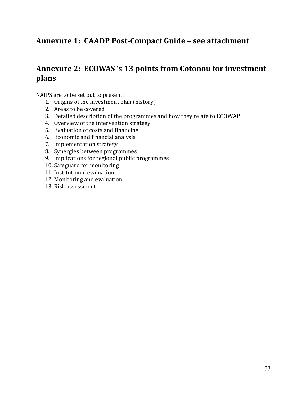# **Annexure 1: CAADP Post-Compact Guide – see attachment**

# **Annexure 2: ECOWAS 's 13 points from Cotonou for investment plans**

NAIPS are to be set out to present:

- 1. Origins of the investment plan (history)
- 2. Areas to be covered
- 3. Detailed description of the programmes and how they relate to ECOWAP
- 4. Overview of the intervention strategy
- 5. Evaluation of costs and financing
- 6. Economic and financial analysis
- 7. Implementation strategy
- 8. Synergies between programmes
- 9. Implications for regional public programmes
- 10. Safeguard for monitoring
- 11. Institutional evaluation
- 12. Monitoring and evaluation
- 13. Risk assessment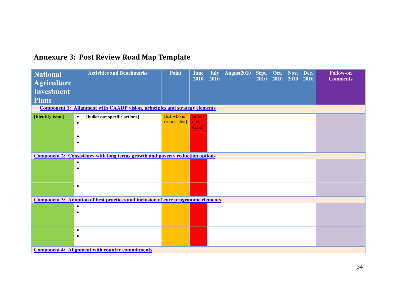|  | <b>Annexure 3: Post Review Road Map Template</b> |  |  |
|--|--------------------------------------------------|--|--|
|--|--------------------------------------------------|--|--|

| <b>National</b><br><b>Agriculture</b><br><b>Investment</b> | <b>Activities and Benchmarks</b>                                                        | <b>Point</b>                  | June<br>2010                    | <b>July</b><br>2010 | August <sub>2010</sub> | Sept.<br>2010 | Oct.<br>2010 | Nov.<br>2010 | Dec.<br>2010 | <b>Follow-on</b><br><b>Comments</b> |
|------------------------------------------------------------|-----------------------------------------------------------------------------------------|-------------------------------|---------------------------------|---------------------|------------------------|---------------|--------------|--------------|--------------|-------------------------------------|
| <b>Plans</b>                                               |                                                                                         |                               |                                 |                     |                        |               |              |              |              |                                     |
|                                                            | <b>Component 1: Alignment with CAADP vision, principles and strategy elements</b>       |                               |                                 |                     |                        |               |              |              |              |                                     |
| [Identify issue]                                           | [bullet out specific actions]<br>$\bullet$<br>$\bullet$                                 | [list who is]<br>responsible] | <b>finsert</b><br>due<br>dates] |                     |                        |               |              |              |              |                                     |
|                                                            | $\bullet$<br>$\bullet$                                                                  |                               |                                 |                     |                        |               |              |              |              |                                     |
|                                                            | <b>Component 2: Consistency with long terms growth and poverty reduction options</b>    |                               |                                 |                     |                        |               |              |              |              |                                     |
|                                                            | $\bullet$<br>$\bullet$                                                                  |                               |                                 |                     |                        |               |              |              |              |                                     |
|                                                            | $\bullet$                                                                               |                               |                                 |                     |                        |               |              |              |              |                                     |
|                                                            | <b>Component 3: Adoption of best practices and inclusion of core programme elements</b> |                               |                                 |                     |                        |               |              |              |              |                                     |
|                                                            | $\bullet$<br>$\bullet$                                                                  |                               |                                 |                     |                        |               |              |              |              |                                     |
|                                                            | $\bullet$<br>$\bullet$                                                                  |                               |                                 |                     |                        |               |              |              |              |                                     |
| <b>Component 4: Alignment with country commitments</b>     |                                                                                         |                               |                                 |                     |                        |               |              |              |              |                                     |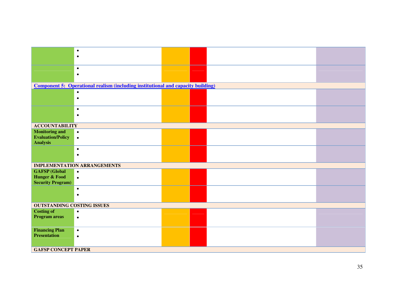|                                                                      | $\bullet$<br>$\bullet$                                                                  |  |  |  |  |  |  |
|----------------------------------------------------------------------|-----------------------------------------------------------------------------------------|--|--|--|--|--|--|
|                                                                      | $\bullet$<br>$\bullet$                                                                  |  |  |  |  |  |  |
|                                                                      | <b>Component 5: Operational realism (including institutional and capacity building)</b> |  |  |  |  |  |  |
|                                                                      | $\bullet$<br>$\bullet$                                                                  |  |  |  |  |  |  |
|                                                                      | $\bullet$<br>$\bullet$                                                                  |  |  |  |  |  |  |
| <b>ACCOUNTABILITY</b>                                                |                                                                                         |  |  |  |  |  |  |
| <b>Monitoring and</b><br><b>Evaluation/Policy</b><br><b>Analysis</b> | $\bullet$<br>$\bullet$                                                                  |  |  |  |  |  |  |
|                                                                      | $\bullet$<br>$\bullet$                                                                  |  |  |  |  |  |  |
|                                                                      | <b>IMPLEMENTATION ARRANGEMENTS</b>                                                      |  |  |  |  |  |  |
| <b>GAFSP</b> (Global<br>Hunger & Food<br><b>Security Program)</b>    | $\bullet$<br>$\bullet$                                                                  |  |  |  |  |  |  |
|                                                                      | $\bullet$<br>$\bullet$                                                                  |  |  |  |  |  |  |
| <b>OUTSTANDING COSTING ISSUES</b>                                    |                                                                                         |  |  |  |  |  |  |
| <b>Costing of</b><br><b>Program areas</b>                            | $\bullet$<br>$\bullet$                                                                  |  |  |  |  |  |  |
| <b>Financing Plan</b><br><b>Presentation</b>                         | $\bullet$<br>$\bullet$                                                                  |  |  |  |  |  |  |
| <b>GAFSP CONCEPT PAPER</b>                                           |                                                                                         |  |  |  |  |  |  |